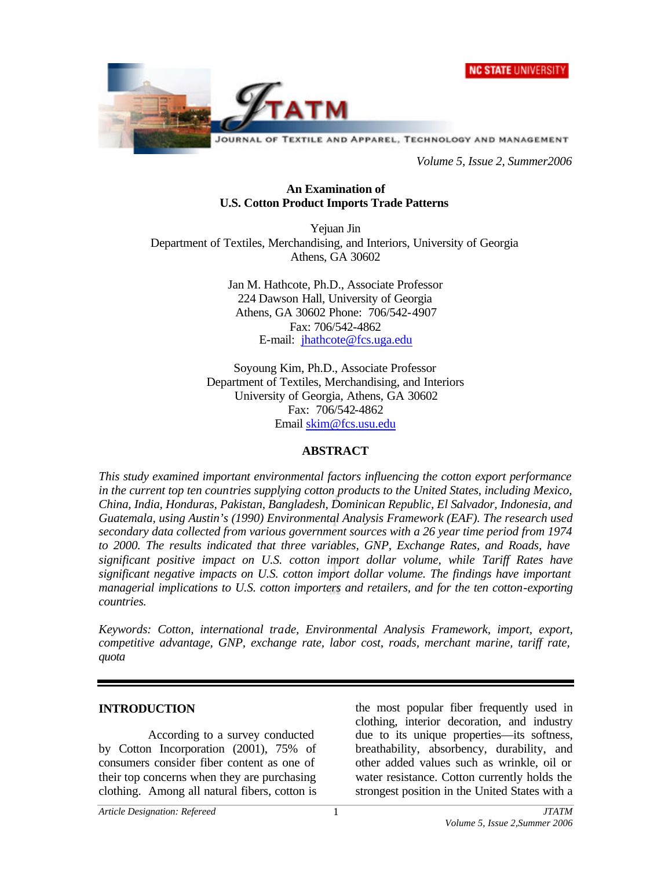



*Volume 5, Issue 2, Summer2006*

#### **An Examination of U.S. Cotton Product Imports Trade Patterns**

Yejuan Jin Department of Textiles, Merchandising, and Interiors, University of Georgia Athens, GA 30602

> Jan M. Hathcote, Ph.D., Associate Professor 224 Dawson Hall, University of Georgia Athens, GA 30602 Phone: 706/542-4907 Fax: 706/542-4862 E-mail: jhathcote@fcs.uga.edu

Soyoung Kim, Ph.D., Associate Professor Department of Textiles, Merchandising, and Interiors University of Georgia, Athens, GA 30602 Fax: 706/542-4862 Email skim@fcs.usu.edu

#### **ABSTRACT**

*This study examined important environmental factors influencing the cotton export performance in the current top ten countries supplying cotton products to the United States, including Mexico, China, India, Honduras, Pakistan, Bangladesh, Dominican Republic, El Salvador, Indonesia, and Guatemala, using Austin's (1990) Environmental Analysis Framework (EAF). The research used secondary data collected from various government sources with a 26 year time period from 1974 to 2000. The results indicated that three variables, GNP, Exchange Rates, and Roads, have significant positive impact on U.S. cotton import dollar volume, while Tariff Rates have significant negative impacts on U.S. cotton import dollar volume. The findings have important managerial implications to U.S. cotton importers and retailers, and for the ten cotton-exporting countries.*

*Keywords: Cotton, international trade, Environmental Analysis Framework, import, export, competitive advantage, GNP, exchange rate, labor cost, roads, merchant marine, tariff rate, quota*

#### **INTRODUCTION**

According to a survey conducted by Cotton Incorporation (2001), 75% of consumers consider fiber content as one of their top concerns when they are purchasing clothing. Among all natural fibers, cotton is

the most popular fiber frequently used in clothing, interior decoration, and industry due to its unique properties—its softness, breathability, absorbency, durability, and other added values such as wrinkle, oil or water resistance. Cotton currently holds the strongest position in the United States with a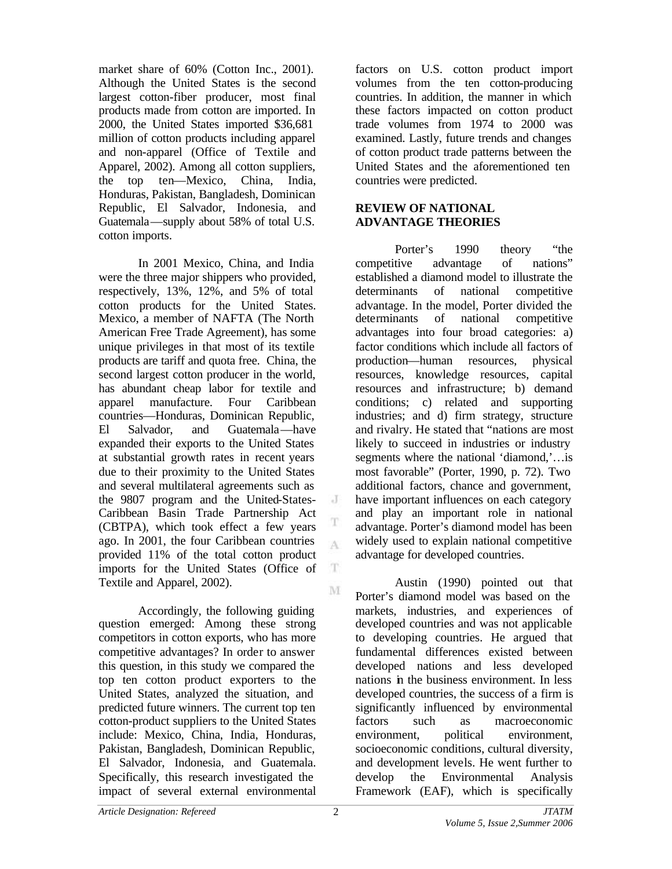market share of 60% (Cotton Inc., 2001). Although the United States is the second largest cotton-fiber producer, most final products made from cotton are imported. In 2000, the United States imported \$36,681 million of cotton products including apparel and non-apparel (Office of Textile and Apparel, 2002). Among all cotton suppliers, the top ten—Mexico, China, India, Honduras, Pakistan, Bangladesh, Dominican Republic, El Salvador, Indonesia, and Guatemala—supply about 58% of total U.S. cotton imports.

In 2001 Mexico, China, and India were the three major shippers who provided, respectively, 13%, 12%, and 5% of total cotton products for the United States. Mexico, a member of NAFTA (The North American Free Trade Agreement), has some unique privileges in that most of its textile products are tariff and quota free. China, the second largest cotton producer in the world, has abundant cheap labor for textile and apparel manufacture. Four Caribbean countries—Honduras, Dominican Republic, El Salvador, and Guatemala—have expanded their exports to the United States at substantial growth rates in recent years due to their proximity to the United States and several multilateral agreements such as the 9807 program and the United-States-Caribbean Basin Trade Partnership Act (CBTPA), which took effect a few years ago. In 2001, the four Caribbean countries provided 11% of the total cotton product imports for the United States (Office of Textile and Apparel, 2002).

Accordingly, the following guiding question emerged: Among these strong competitors in cotton exports, who has more competitive advantages? In order to answer this question, in this study we compared the top ten cotton product exporters to the United States, analyzed the situation, and predicted future winners. The current top ten cotton-product suppliers to the United States include: Mexico, China, India, Honduras, Pakistan, Bangladesh, Dominican Republic, El Salvador, Indonesia, and Guatemala. Specifically, this research investigated the impact of several external environmental

factors on U.S. cotton product import volumes from the ten cotton-producing countries. In addition, the manner in which these factors impacted on cotton product trade volumes from 1974 to 2000 was examined. Lastly, future trends and changes of cotton product trade patterns between the United States and the aforementioned ten countries were predicted.

#### **REVIEW OF NATIONAL ADVANTAGE THEORIES**

Porter's 1990 theory "the competitive advantage of nations" established a diamond model to illustrate the determinants of national competitive advantage. In the model, Porter divided the determinants of national competitive advantages into four broad categories: a) factor conditions which include all factors of production—human resources, physical resources, knowledge resources, capital resources and infrastructure; b) demand conditions; c) related and supporting industries; and d) firm strategy, structure and rivalry. He stated that "nations are most likely to succeed in industries or industry segments where the national 'diamond,'... is most favorable" (Porter, 1990, p. 72). Two additional factors, chance and government, have important influences on each category and play an important role in national advantage. Porter's diamond model has been widely used to explain national competitive advantage for developed countries.

Austin (1990) pointed out that Porter's diamond model was based on the markets, industries, and experiences of developed countries and was not applicable to developing countries. He argued that fundamental differences existed between developed nations and less developed nations in the business environment. In less developed countries, the success of a firm is significantly influenced by environmental factors such as macroeconomic environment, political environment, socioeconomic conditions, cultural diversity, and development levels. He went further to develop the Environmental Analysis Framework (EAF), which is specifically

J

A

 $\mathbf T$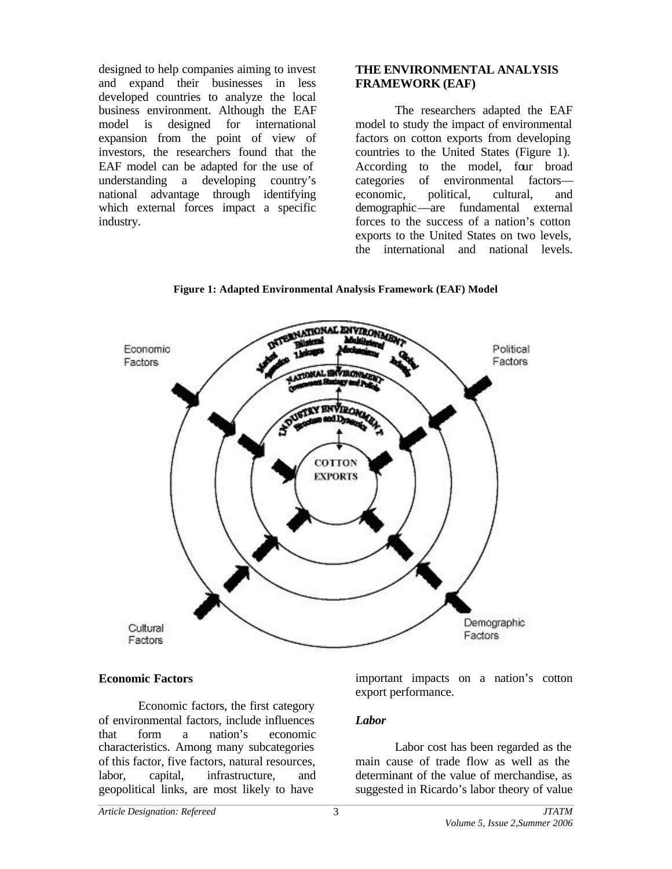designed to help companies aiming to invest and expand their businesses in less developed countries to analyze the local business environment. Although the EAF model is designed for international expansion from the point of view of investors, the researchers found that the EAF model can be adapted for the use of understanding a developing country's national advantage through identifying which external forces impact a specific industry.

## **THE ENVIRONMENTAL ANALYSIS FRAMEWORK (EAF)**

The researchers adapted the EAF model to study the impact of environmental factors on cotton exports from developing countries to the United States (Figure 1). According to the model, four broad categories of environmental factors economic, political, cultural, and demographic—are fundamental external forces to the success of a nation's cotton exports to the United States on two levels, the international and national levels.





#### **Economic Factors**

Economic factors, the first category of environmental factors, include influences that form a nation's economic characteristics. Among many subcategories of this factor, five factors, natural resources, labor, capital, infrastructure, and geopolitical links, are most likely to have

important impacts on a nation's cotton export performance.

#### *Labor*

Labor cost has been regarded as the main cause of trade flow as well as the determinant of the value of merchandise, as suggested in Ricardo's labor theory of value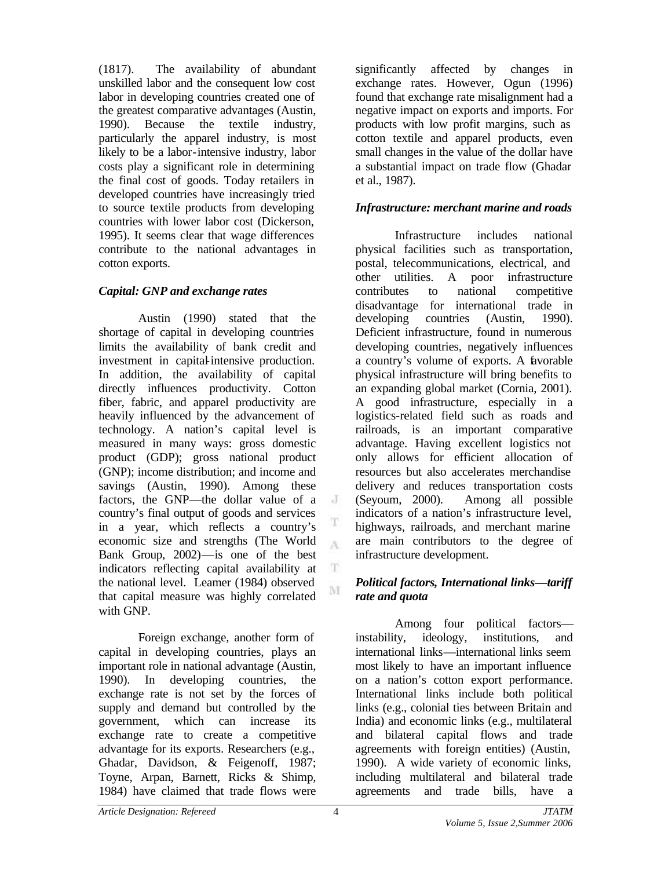(1817). The availability of abundant unskilled labor and the consequent low cost labor in developing countries created one of the greatest comparative advantages (Austin, 1990). Because the textile industry, particularly the apparel industry, is most likely to be a labor-intensive industry, labor costs play a significant role in determining the final cost of goods. Today retailers in developed countries have increasingly tried to source textile products from developing countries with lower labor cost (Dickerson, 1995). It seems clear that wage differences contribute to the national advantages in cotton exports.

## *Capital: GNP and exchange rates*

Austin (1990) stated that the shortage of capital in developing countries limits the availability of bank credit and investment in capital-intensive production. In addition, the availability of capital directly influences productivity. Cotton fiber, fabric, and apparel productivity are heavily influenced by the advancement of technology. A nation's capital level is measured in many ways: gross domestic product (GDP); gross national product (GNP); income distribution; and income and savings (Austin, 1990). Among these factors, the GNP—the dollar value of a  $\cdot$  J country's final output of goods and services in a year, which reflects a country's economic size and strengths (The World Bank Group, 2002)—is one of the best indicators reflecting capital availability at  $\mathbf T$ the national level. Leamer (1984) observed that capital measure was highly correlated with GNP.

Foreign exchange, another form of capital in developing countries, plays an important role in national advantage (Austin, 1990). In developing countries, the exchange rate is not set by the forces of supply and demand but controlled by the government, which can increase its exchange rate to create a competitive advantage for its exports. Researchers (e.g., Ghadar, Davidson, & Feigenoff, 1987; Toyne, Arpan, Barnett, Ricks & Shimp, 1984) have claimed that trade flows were

significantly affected by changes in exchange rates. However, Ogun (1996) found that exchange rate misalignment had a negative impact on exports and imports. For products with low profit margins, such as cotton textile and apparel products, even small changes in the value of the dollar have a substantial impact on trade flow (Ghadar et al., 1987).

## *Infrastructure: merchant marine and roads*

Infrastructure includes national physical facilities such as transportation, postal, telecommunications, electrical, and other utilities. A poor infrastructure contributes to national competitive disadvantage for international trade in developing countries (Austin, 1990). Deficient infrastructure, found in numerous developing countries, negatively influences a country's volume of exports. A favorable physical infrastructure will bring benefits to an expanding global market (Cornia, 2001). A good infrastructure, especially in a logistics-related field such as roads and railroads, is an important comparative advantage. Having excellent logistics not only allows for efficient allocation of resources but also accelerates merchandise delivery and reduces transportation costs (Seyoum, 2000). Among all possible indicators of a nation's infrastructure level, highways, railroads, and merchant marine are main contributors to the degree of infrastructure development.

## *Political factors, International links—tariff rate and quota*

Among four political factors instability, ideology, institutions, and international links—international links seem most likely to have an important influence on a nation's cotton export performance. International links include both political links (e.g., colonial ties between Britain and India) and economic links (e.g., multilateral and bilateral capital flows and trade agreements with foreign entities) (Austin, 1990). A wide variety of economic links, including multilateral and bilateral trade agreements and trade bills, have a

T A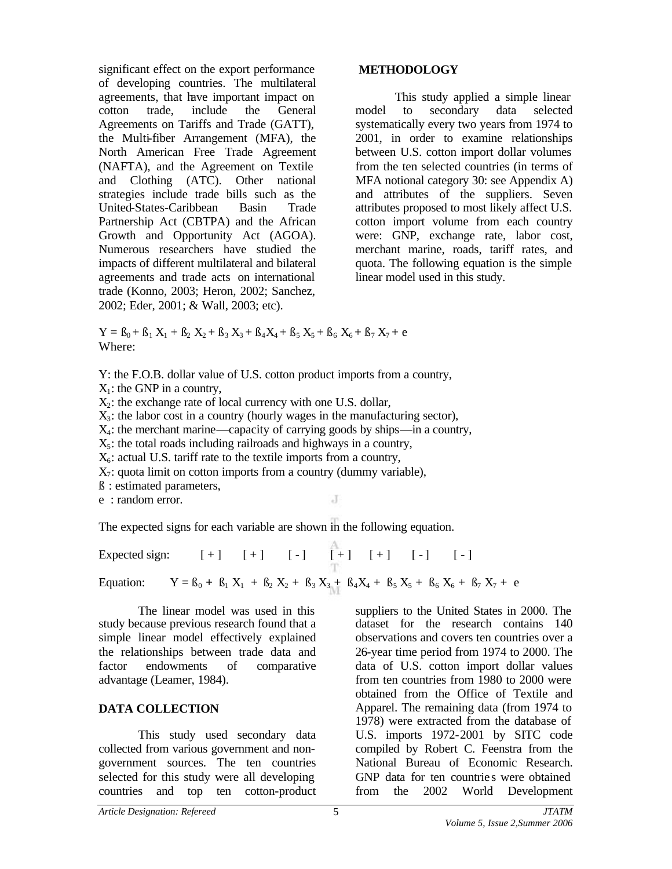significant effect on the export performance of developing countries. The multilateral agreements, that have important impact on cotton trade, include the General Agreements on Tariffs and Trade (GATT), the Multi-fiber Arrangement (MFA), the North American Free Trade Agreement (NAFTA), and the Agreement on Textile and Clothing (ATC). Other national strategies include trade bills such as the United-States-Caribbean Basin Trade Partnership Act (CBTPA) and the African Growth and Opportunity Act (AGOA). Numerous researchers have studied the impacts of different multilateral and bilateral agreements and trade acts on international trade (Konno, 2003; Heron, 2002; Sanchez, 2002; Eder, 2001; & Wall, 2003; etc).

#### **METHODOLOGY**

This study applied a simple linear model to secondary data selected systematically every two years from 1974 to 2001, in order to examine relationships between U.S. cotton import dollar volumes from the ten selected countries (in terms of MFA notional category 30: see Appendix A) and attributes of the suppliers. Seven attributes proposed to most likely affect U.S. cotton import volume from each country were: GNP, exchange rate, labor cost, merchant marine, roads, tariff rates, and quota. The following equation is the simple linear model used in this study.

 $Y = B_0 + B_1 X_1 + B_2 X_2 + B_3 X_3 + B_4 X_4 + B_5 X_5 + B_6 X_6 + B_7 X_7 + e$ Where:

Y: the F.O.B. dollar value of U.S. cotton product imports from a country,

 $X_1$ : the GNP in a country,

 $X_2$ : the exchange rate of local currency with one U.S. dollar,

 $X_3$ : the labor cost in a country (hourly wages in the manufacturing sector),

 $X_4$ : the merchant marine—capacity of carrying goods by ships—in a country,

 $X<sub>5</sub>$ : the total roads including railroads and highways in a country,

 $X_6$ : actual U.S. tariff rate to the textile imports from a country,

 $X_7$ : quota limit on cotton imports from a country (dummy variable),

ß : estimated parameters,

e : random error.

The expected signs for each variable are shown in the following equation.

Expected sign:  $[+]$   $[+]$   $[.]$   $[.]$   $[+]$   $[+]$   $[.]$   $[.]$   $[.]$ Equation:  $Y = B_0 + B_1 X_1 + B_2 X_2 + B_3 X_3 + B_4 X_4 + B_5 X_5 + B_6 X_6 + B_7 X_7 + e$ 

 $\cdot$ T

The linear model was used in this study because previous research found that a simple linear model effectively explained the relationships between trade data and factor endowments of comparative advantage (Leamer, 1984).

## **DATA COLLECTION**

This study used secondary data collected from various government and nongovernment sources. The ten countries selected for this study were all developing countries and top ten cotton-product

suppliers to the United States in 2000. The dataset for the research contains 140 observations and covers ten countries over a 26-year time period from 1974 to 2000. The data of U.S. cotton import dollar values from ten countries from 1980 to 2000 were obtained from the Office of Textile and Apparel. The remaining data (from 1974 to 1978) were extracted from the database of U.S. imports 1972-2001 by SITC code compiled by Robert C. Feenstra from the National Bureau of Economic Research. GNP data for ten countries were obtained from the 2002 World Development

*Article Designation: Refereed JTATM*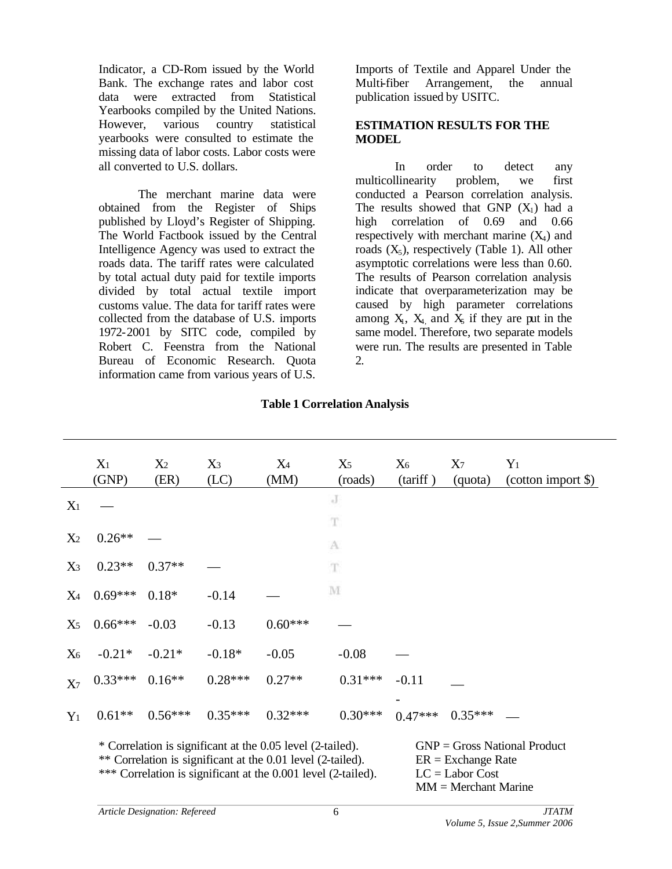Indicator, a CD-Rom issued by the World Bank. The exchange rates and labor cost data were extracted from Statistical Yearbooks compiled by the United Nations. However, various country statistical yearbooks were consulted to estimate the missing data of labor costs. Labor costs were all converted to U.S. dollars.

The merchant marine data were obtained from the Register of Ships published by Lloyd's Register of Shipping. The World Factbook issued by the Central Intelligence Agency was used to extract the roads data. The tariff rates were calculated by total actual duty paid for textile imports divided by total actual textile import customs value. The data for tariff rates were collected from the database of U.S. imports 1972-2001 by SITC code, compiled by Robert C. Feenstra from the National Bureau of Economic Research. Quota information came from various years of U.S.

Imports of Textile and Apparel Under the Multi-fiber Arrangement, the annual publication issued by USITC.

#### **ESTIMATION RESULTS FOR THE MODEL**

In order to detect any multicollinearity problem, we first conducted a Pearson correlation analysis. The results showed that GNP  $(X_1)$  had a high correlation of 0.69 and 0.66 respectively with merchant marine  $(X_4)$  and roads  $(X_5)$ , respectively (Table 1). All other asymptotic correlations were less than 0.60. The results of Pearson correlation analysis indicate that overparameterization may be caused by high parameter correlations among  $X_1$ ,  $X_4$  and  $X_5$  if they are put in the same model. Therefore, two separate models were run. The results are presented in Table 2.

|                | X <sub>1</sub><br>(GNP)                                                                                                                                                                    | X <sub>2</sub><br>(ER) | $X_3$<br>(LC) | X4<br>(MM) | $X_5$<br>(roads) | $X_6$<br>(tariff)                                                                                     | $X_7$<br>(quota) | $Y_1$<br>(cotton import \$) |
|----------------|--------------------------------------------------------------------------------------------------------------------------------------------------------------------------------------------|------------------------|---------------|------------|------------------|-------------------------------------------------------------------------------------------------------|------------------|-----------------------------|
| $X_1$          |                                                                                                                                                                                            |                        |               |            | J                |                                                                                                       |                  |                             |
| X <sub>2</sub> | $0.26**$                                                                                                                                                                                   |                        |               |            | T<br>A           |                                                                                                       |                  |                             |
| $X_3$          | $0.23**$                                                                                                                                                                                   | $0.37**$               |               |            | $\mathbf T$      |                                                                                                       |                  |                             |
| $X_4$          | $0.69***$                                                                                                                                                                                  | $0.18*$                | $-0.14$       |            | M                |                                                                                                       |                  |                             |
| X <sub>5</sub> | $0.66***$                                                                                                                                                                                  | $-0.03$                | $-0.13$       | $0.60***$  |                  |                                                                                                       |                  |                             |
| X <sub>6</sub> | $-0.21*$                                                                                                                                                                                   | $-0.21*$               | $-0.18*$      | $-0.05$    | $-0.08$          |                                                                                                       |                  |                             |
| X <sub>7</sub> | $0.33***$                                                                                                                                                                                  | $0.16**$               | $0.28***$     | $0.27**$   | $0.31***$        | $-0.11$                                                                                               |                  |                             |
| $Y_1$          | $0.61**$                                                                                                                                                                                   | $0.56***$              | $0.35***$     | $0.32***$  | $0.30***$        | $0.47***$                                                                                             | $0.35***$        |                             |
|                | * Correlation is significant at the 0.05 level (2-tailed).<br>** Correlation is significant at the 0.01 level (2-tailed).<br>*** Correlation is significant at the 0.001 level (2-tailed). |                        |               |            |                  | $GNP = Gross National Product$<br>$ER = Exchange$ Rate<br>$LC = Labor Cost$<br>$MM = Merchant$ Marine |                  |                             |

### **Table 1 Correlation Analysis**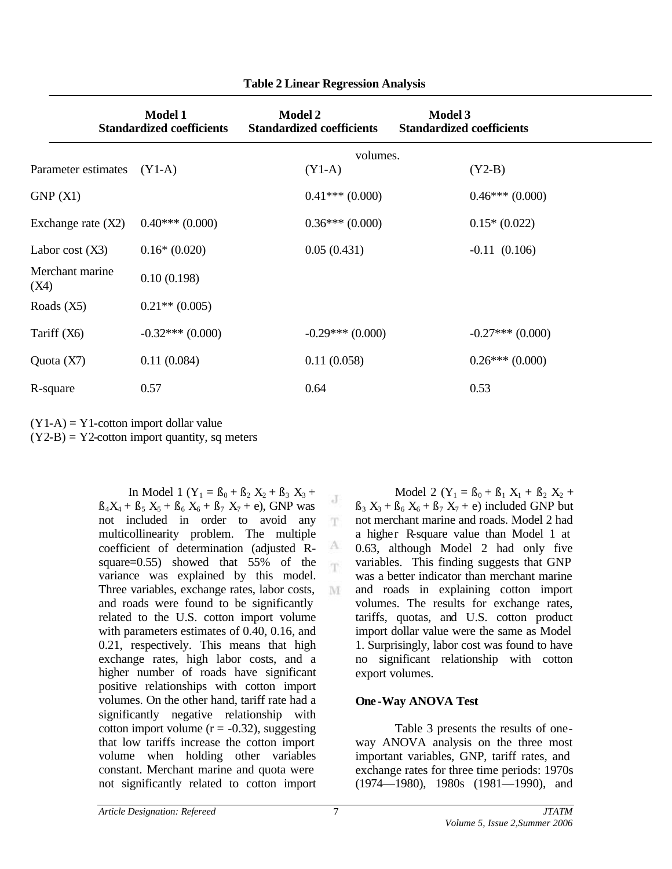|                         | <b>Model 1</b><br><b>Standardized coefficients</b> | <b>Model 2</b><br><b>Standardized coefficients</b> | <b>Model 3</b><br><b>Standardized coefficients</b> |  |
|-------------------------|----------------------------------------------------|----------------------------------------------------|----------------------------------------------------|--|
|                         |                                                    | volumes.                                           |                                                    |  |
| Parameter estimates     | $(Y1-A)$                                           | $(Y1-A)$                                           | $(Y2-B)$                                           |  |
| GNP(X1)                 |                                                    | $0.41***(0.000)$                                   | $0.46***(0.000)$                                   |  |
| Exchange rate (X2)      | $0.40***(0.000)$                                   | $0.36***(0.000)$                                   | $0.15*(0.022)$                                     |  |
| Labor cost (X3)         | $0.16*(0.020)$                                     | 0.05(0.431)                                        | $-0.11(0.106)$                                     |  |
| Merchant marine<br>(X4) | 0.10(0.198)                                        |                                                    |                                                    |  |
| Roads (X5)              | $0.21**$ (0.005)                                   |                                                    |                                                    |  |
| Tariff (X6)             | $-0.32***(0.000)$                                  | $-0.29***(0.000)$                                  | $-0.27***(0.000)$                                  |  |
| Quota (X7)              | 0.11(0.084)                                        | 0.11(0.058)                                        | $0.26***(0.000)$                                   |  |
| R-square                | 0.57                                               | 0.64                                               | 0.53                                               |  |

J T

A 'n

M

**Table 2 Linear Regression Analysis**

 $(Y1-A) = Y1$ -cotton import dollar value

 $(Y2-B) = Y2$ -cotton import quantity, sq meters

In Model 1 ( $Y_1 = B_0 + B_2 X_2 + B_3 X_3 +$  $B_4X_4 + B_5X_5 + B_6X_6 + B_7X_7 + e$ , GNP was not included in order to avoid any multicollinearity problem. The multiple coefficient of determination (adjusted Rsquare=0.55) showed that 55% of the variance was explained by this model. Three variables, exchange rates, labor costs, and roads were found to be significantly related to the U.S. cotton import volume with parameters estimates of 0.40, 0.16, and 0.21, respectively. This means that high exchange rates, high labor costs, and a higher number of roads have significant positive relationships with cotton import volumes. On the other hand, tariff rate had a significantly negative relationship with cotton import volume  $(r = -0.32)$ , suggesting that low tariffs increase the cotton import volume when holding other variables constant. Merchant marine and quota were not significantly related to cotton import

Model 2 ( $Y_1 = B_0 + B_1 X_1 + B_2 X_2 +$  $B_3$   $X_3 + B_6$   $X_6 + B_7$   $X_7$  + e) included GNP but not merchant marine and roads. Model 2 had a higher R-square value than Model 1 at 0.63, although Model 2 had only five variables. This finding suggests that GNP was a better indicator than merchant marine and roads in explaining cotton import volumes. The results for exchange rates, tariffs, quotas, and U.S. cotton product import dollar value were the same as Model 1. Surprisingly, labor cost was found to have no significant relationship with cotton export volumes.

## **One -Way ANOVA Test**

Table 3 presents the results of oneway ANOVA analysis on the three most important variables, GNP, tariff rates, and exchange rates for three time periods: 1970s (1974—1980), 1980s (1981—1990), and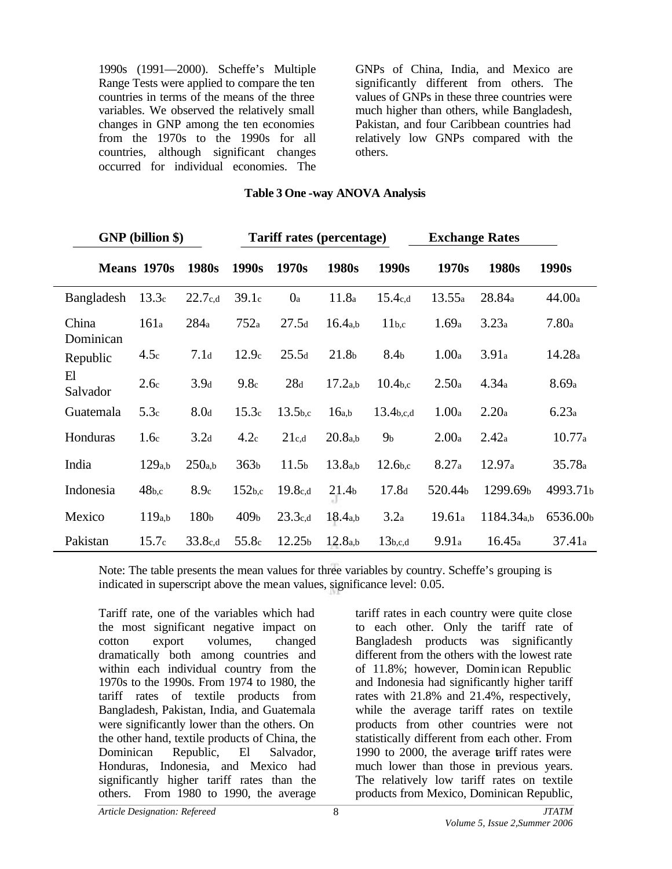1990s (1991—2000). Scheffe's Multiple Range Tests were applied to compare the ten countries in terms of the means of the three variables. We observed the relatively small changes in GNP among the ten economies from the 1970s to the 1990s for all countries, although significant changes occurred for individual economies. The GNPs of China, India, and Mexico are significantly different from others. The values of GNPs in these three countries were much higher than others, while Bangladesh, Pakistan, and four Caribbean countries had relatively low GNPs compared with the others.

#### **Table 3 One -way ANOVA Analysis**

| <b>GNP</b> (billion \$) | <b>Tariff rates (percentage)</b> |                  |                    |                     | <b>Exchange Rates</b> |                       |         |                        |          |
|-------------------------|----------------------------------|------------------|--------------------|---------------------|-----------------------|-----------------------|---------|------------------------|----------|
|                         | Means 1970s                      | 1980s            | 1990s              | 1970s               | 1980s                 | 1990s                 | 1970s   | 1980s                  | 1990s    |
| Bangladesh              | 13.3c                            | 22.7c,d          | 39.1c              | 0 <sub>a</sub>      | 11.8a                 | 15.4c,d               | 13.55a  | 28.84a                 | 44.00a   |
| China<br>Dominican      | 161a                             | 284a             | 752a               | 27.5d               | 16.4 <sub>a,b</sub>   | 11 <sub>b,c</sub>     | 1.69a   | 3.23a                  | 7.80a    |
| Republic                | 4.5c                             | 7.1 <sub>d</sub> | 12.9c              | 25.5d               | 21.8 <sub>b</sub>     | 8.4 <sub>b</sub>      | 1.00a   | 3.91a                  | 14.28a   |
| E1<br>Salvador          | 2.6c                             | 3.9 <sub>d</sub> | 9.8 <sub>c</sub>   | 28d                 | 17.2 <sub>a,b</sub>   | 10.4 <sub>b,c</sub>   | 2.50a   | 4.34a                  | 8.69a    |
| Guatemala               | 5.3 <sub>c</sub>                 | 8.0d             | 15.3c              | 13.5 <sub>b,c</sub> | 16a,b                 | 13.4 <sub>b,c,d</sub> | 1.00a   | 2.20a                  | 6.23a    |
| Honduras                | 1.6 <sub>c</sub>                 | 3.2 <sub>d</sub> | 4.2c               | 21c,d               | 20.8 <sub>a,b</sub>   | 9 <sub>b</sub>        | 2.00a   | 2.42a                  | 10.77a   |
| India                   | 129 <sub>a,b</sub>               | 250a,b           | 363 <sub>b</sub>   | 11.5 <sub>b</sub>   | 13.8a,b               | 12.6 <sub>b,c</sub>   | 8.27a   | 12.97a                 | 35.78a   |
| Indonesia               | 48 <sub>b,c</sub>                | 8.9c             | 152 <sub>b,c</sub> | 19.8c,d             | 21.4 <sub>b</sub>     | 17.8 <sub>d</sub>     | 520.44b | 1299.69b               | 4993.71b |
| Mexico                  | 119a,b                           | 180 <sub>b</sub> | 409 <sub>b</sub>   | 23.3c,d             | 18.4 <sub>a,b</sub>   | 3.2a                  | 19.61a  | 1184.34 <sub>a,b</sub> | 6536.00b |
| Pakistan                | 15.7 <sub>c</sub>                | 33.8c,d          | 55.8c              | 12.25 <sub>b</sub>  | 12.8 <sub>a,b</sub>   | 13 <sub>b,c,d</sub>   | 9.91a   | 16.45a                 | 37.41a   |

Note: The table presents the mean values for three variables by country. Scheffe's grouping is indicated in superscript above the mean values, significance level: 0.05.

Tariff rate, one of the variables which had the most significant negative impact on cotton export volumes, changed dramatically both among countries and within each individual country from the 1970s to the 1990s. From 1974 to 1980, the tariff rates of textile products from Bangladesh, Pakistan, India, and Guatemala were significantly lower than the others. On the other hand, textile products of China, the Dominican Republic, El Salvador, Honduras, Indonesia, and Mexico had significantly higher tariff rates than the others. From 1980 to 1990, the average

tariff rates in each country were quite close to each other. Only the tariff rate of Bangladesh products was significantly different from the others with the lowest rate of 11.8%; however, Dominican Republic and Indonesia had significantly higher tariff rates with 21.8% and 21.4%, respectively, while the average tariff rates on textile products from other countries were not statistically different from each other. From 1990 to 2000, the average tariff rates were much lower than those in previous years. The relatively low tariff rates on textile products from Mexico, Dominican Republic,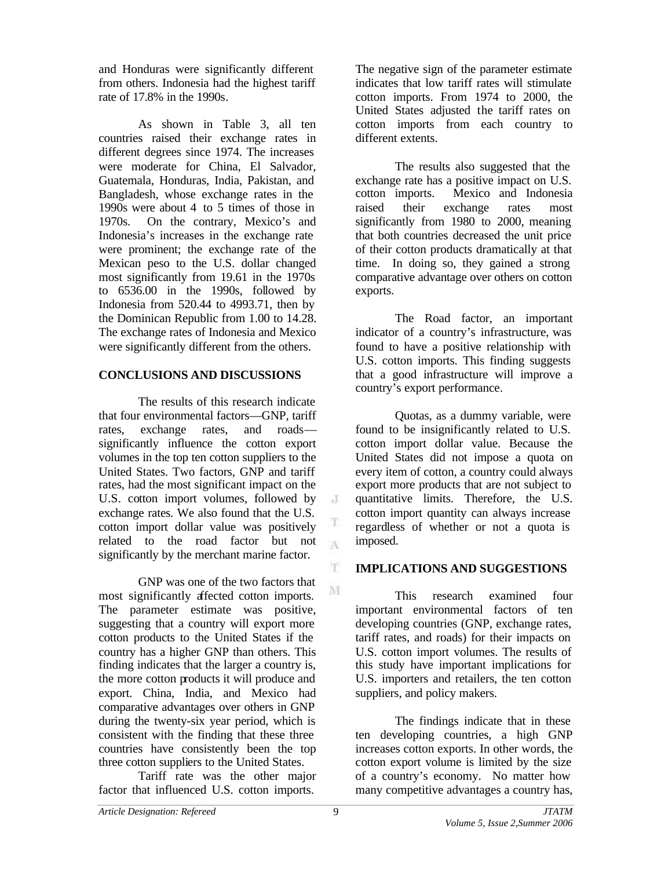and Honduras were significantly different from others. Indonesia had the highest tariff rate of 17.8% in the 1990s.

As shown in Table 3, all ten countries raised their exchange rates in different degrees since 1974. The increases were moderate for China, El Salvador, Guatemala, Honduras, India, Pakistan, and Bangladesh, whose exchange rates in the 1990s were about 4 to 5 times of those in 1970s. On the contrary, Mexico's and Indonesia's increases in the exchange rate were prominent; the exchange rate of the Mexican peso to the U.S. dollar changed most significantly from 19.61 in the 1970s to 6536.00 in the 1990s, followed by Indonesia from 520.44 to 4993.71, then by the Dominican Republic from 1.00 to 14.28. The exchange rates of Indonesia and Mexico were significantly different from the others.

## **CONCLUSIONS AND DISCUSSIONS**

The results of this research indicate that four environmental factors—GNP, tariff rates, exchange rates, and roads significantly influence the cotton export volumes in the top ten cotton suppliers to the United States. Two factors, GNP and tariff rates, had the most significant impact on the U.S. cotton import volumes, followed by exchange rates. We also found that the U.S. cotton import dollar value was positively related to the road factor but not significantly by the merchant marine factor.

GNP was one of the two factors that most significantly affected cotton imports. The parameter estimate was positive, suggesting that a country will export more cotton products to the United States if the country has a higher GNP than others. This finding indicates that the larger a country is, the more cotton products it will produce and export. China, India, and Mexico had comparative advantages over others in GNP during the twenty-six year period, which is consistent with the finding that these three countries have consistently been the top three cotton suppliers to the United States.

Tariff rate was the other major factor that influenced U.S. cotton imports.

The negative sign of the parameter estimate indicates that low tariff rates will stimulate cotton imports. From 1974 to 2000, the United States adjusted the tariff rates on cotton imports from each country to different extents.

The results also suggested that the exchange rate has a positive impact on U.S. cotton imports. Mexico and Indonesia raised their exchange rates most significantly from 1980 to 2000, meaning that both countries decreased the unit price of their cotton products dramatically at that time. In doing so, they gained a strong comparative advantage over others on cotton exports.

The Road factor, an important indicator of a country's infrastructure, was found to have a positive relationship with U.S. cotton imports. This finding suggests that a good infrastructure will improve a country's export performance.

Quotas, as a dummy variable, were found to be insignificantly related to U.S. cotton import dollar value. Because the United States did not impose a quota on every item of cotton, a country could always export more products that are not subject to quantitative limits. Therefore, the U.S. cotton import quantity can always increase regardless of whether or not a quota is imposed.

# **IMPLICATIONS AND SUGGESTIONS**

This research examined four important environmental factors of ten developing countries (GNP, exchange rates, tariff rates, and roads) for their impacts on U.S. cotton import volumes. The results of this study have important implications for U.S. importers and retailers, the ten cotton suppliers, and policy makers.

The findings indicate that in these ten developing countries, a high GNP increases cotton exports. In other words, the cotton export volume is limited by the size of a country's economy. No matter how many competitive advantages a country has,

J

 $\Lambda$ 

T.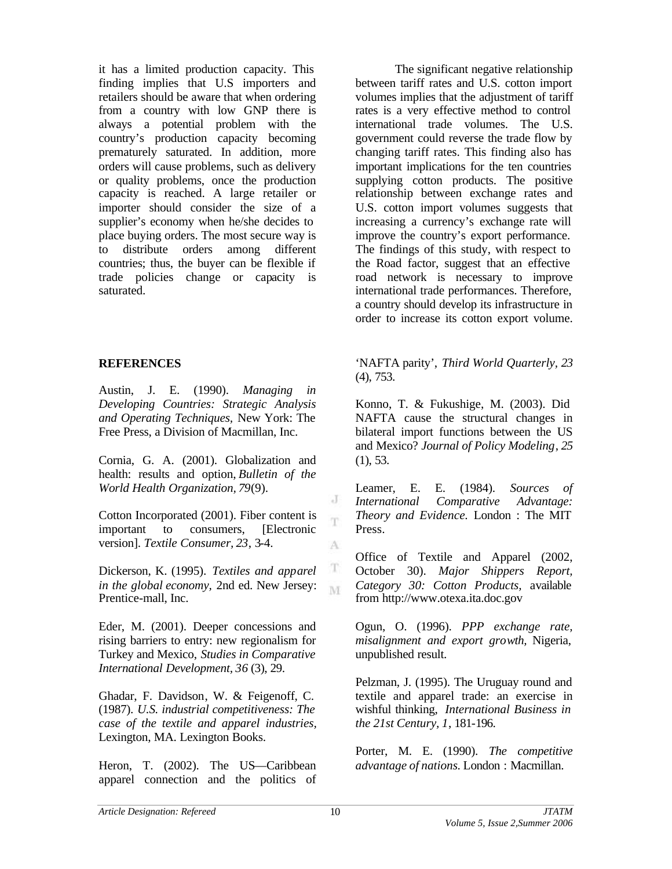it has a limited production capacity. This finding implies that U.S importers and retailers should be aware that when ordering from a country with low GNP there is always a potential problem with the country's production capacity becoming prematurely saturated. In addition, more orders will cause problems, such as delivery or quality problems, once the production capacity is reached. A large retailer or importer should consider the size of a supplier's economy when he/she decides to place buying orders. The most secure way is to distribute orders among different countries; thus, the buyer can be flexible if trade policies change or capacity is saturated.

### **REFERENCES**

Austin, J. E. (1990). *Managing in Developing Countries: Strategic Analysis and Operating Techniques,* New York: The Free Press, a Division of Macmillan, Inc.

Cornia, G. A. (2001). Globalization and health: results and option, *Bulletin of the World Health Organization, 79*(9).

Cotton Incorporated (2001). Fiber content is important to consumers, [Electronic version]. *Textile Consumer, 23*, 3-4.

Dickerson, K. (1995). *Textiles and apparel in the global economy,* 2nd ed. New Jersey: Prentice-mall, Inc.

Eder, M. (2001). Deeper concessions and rising barriers to entry: new regionalism for Turkey and Mexico, *Studies in Comparative International Development, 36* (3), 29.

Ghadar, F. Davidson, W. & Feigenoff, C. (1987). *U.S. industrial competitiveness: The case of the textile and apparel industries,* Lexington, MA. Lexington Books.

Heron, T. (2002). The US—Caribbean apparel connection and the politics of

The significant negative relationship between tariff rates and U.S. cotton import volumes implies that the adjustment of tariff rates is a very effective method to control international trade volumes. The U.S. government could reverse the trade flow by changing tariff rates. This finding also has important implications for the ten countries supplying cotton products. The positive relationship between exchange rates and U.S. cotton import volumes suggests that increasing a currency's exchange rate will improve the country's export performance. The findings of this study, with respect to the Road factor, suggest that an effective road network is necessary to improve international trade performances. Therefore, a country should develop its infrastructure in order to increase its cotton export volume.

'NAFTA parity', *Third World Quarterly, 23* (4), 753.

Konno, T. & Fukushige, M. (2003). Did NAFTA cause the structural changes in bilateral import functions between the US and Mexico? *Journal of Policy Modeling*, *25* (1), 53.

Leamer, E. E. (1984). *Sources of International Comparative Advantage: Theory and Evidence.* London : The MIT Press.

Office of Textile and Apparel (2002, October 30). *Major Shippers Report, Category 30: Cotton Products,* available from http://www.otexa.ita.doc.gov

Ogun, O. (1996). *PPP exchange rate, misalignment and export growth,* Nigeria, unpublished result.

Pelzman, J. (1995). The Uruguay round and textile and apparel trade: an exercise in wishful thinking, *International Business in the 21st Century, 1*, 181-196.

Porter, M. E. (1990). *The competitive advantage of nations.* London : Macmillan.

J T

A

T M